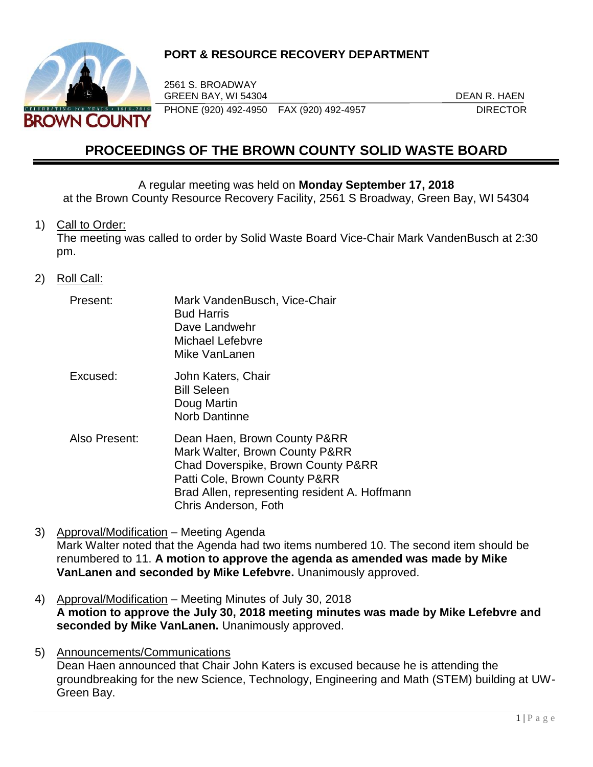

# **PORT & RESOURCE RECOVERY DEPARTMENT**

2561 S. BROADWAY GREEN BAY, WI 54304 DEAN R. HAEN PHONE (920) 492-4950 FAX (920) 492-4957 DIRECTOR

# **PROCEEDINGS OF THE BROWN COUNTY SOLID WASTE BOARD**

A regular meeting was held on **Monday September 17, 2018**

at the Brown County Resource Recovery Facility, 2561 S Broadway, Green Bay, WI 54304

1) Call to Order:

The meeting was called to order by Solid Waste Board Vice-Chair Mark VandenBusch at 2:30 pm.

- 2) Roll Call:
	- Present: Mark VandenBusch, Vice-Chair Bud Harris Dave Landwehr Michael Lefebvre Mike Vanl anen
	- Excused: John Katers, Chair Bill Seleen Doug Martin Norb Dantinne
	- Also Present: Dean Haen, Brown County P&RR Mark Walter, Brown County P&RR Chad Doverspike, Brown County P&RR Patti Cole, Brown County P&RR Brad Allen, representing resident A. Hoffmann Chris Anderson, Foth
- 3) Approval/Modification Meeting Agenda Mark Walter noted that the Agenda had two items numbered 10. The second item should be renumbered to 11. **A motion to approve the agenda as amended was made by Mike VanLanen and seconded by Mike Lefebvre.** Unanimously approved.
- 4) Approval/Modification Meeting Minutes of July 30, 2018 **A motion to approve the July 30, 2018 meeting minutes was made by Mike Lefebvre and seconded by Mike VanLanen.** Unanimously approved.
- 5) Announcements/Communications Dean Haen announced that Chair John Katers is excused because he is attending the groundbreaking for the new Science, Technology, Engineering and Math (STEM) building at UW-Green Bay.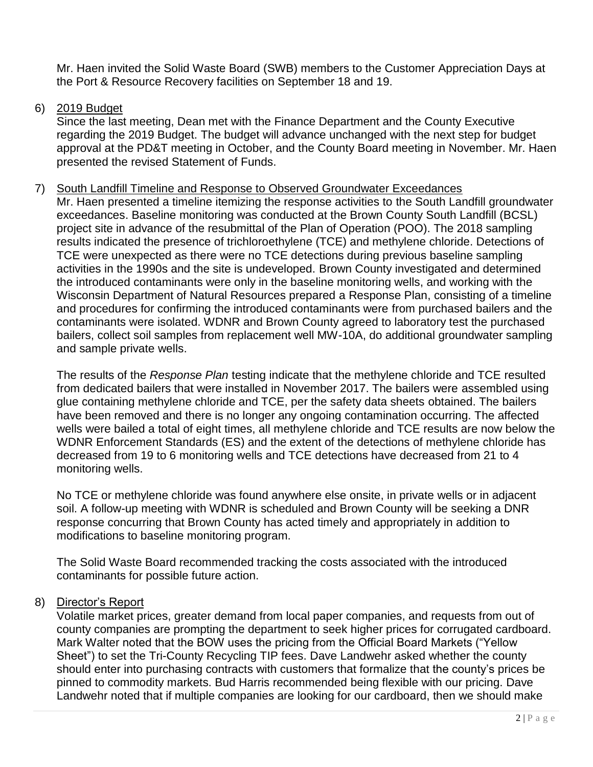Mr. Haen invited the Solid Waste Board (SWB) members to the Customer Appreciation Days at the Port & Resource Recovery facilities on September 18 and 19.

## 6) 2019 Budget

Since the last meeting, Dean met with the Finance Department and the County Executive regarding the 2019 Budget. The budget will advance unchanged with the next step for budget approval at the PD&T meeting in October, and the County Board meeting in November. Mr. Haen presented the revised Statement of Funds.

#### 7) South Landfill Timeline and Response to Observed Groundwater Exceedances

Mr. Haen presented a timeline itemizing the response activities to the South Landfill groundwater exceedances. Baseline monitoring was conducted at the Brown County South Landfill (BCSL) project site in advance of the resubmittal of the Plan of Operation (POO). The 2018 sampling results indicated the presence of trichloroethylene (TCE) and methylene chloride. Detections of TCE were unexpected as there were no TCE detections during previous baseline sampling activities in the 1990s and the site is undeveloped. Brown County investigated and determined the introduced contaminants were only in the baseline monitoring wells, and working with the Wisconsin Department of Natural Resources prepared a Response Plan, consisting of a timeline and procedures for confirming the introduced contaminants were from purchased bailers and the contaminants were isolated. WDNR and Brown County agreed to laboratory test the purchased bailers, collect soil samples from replacement well MW-10A, do additional groundwater sampling and sample private wells.

The results of the *Response Plan* testing indicate that the methylene chloride and TCE resulted from dedicated bailers that were installed in November 2017. The bailers were assembled using glue containing methylene chloride and TCE, per the safety data sheets obtained. The bailers have been removed and there is no longer any ongoing contamination occurring. The affected wells were bailed a total of eight times, all methylene chloride and TCE results are now below the WDNR Enforcement Standards (ES) and the extent of the detections of methylene chloride has decreased from 19 to 6 monitoring wells and TCE detections have decreased from 21 to 4 monitoring wells.

No TCE or methylene chloride was found anywhere else onsite, in private wells or in adjacent soil. A follow-up meeting with WDNR is scheduled and Brown County will be seeking a DNR response concurring that Brown County has acted timely and appropriately in addition to modifications to baseline monitoring program.

The Solid Waste Board recommended tracking the costs associated with the introduced contaminants for possible future action.

#### 8) Director's Report

Volatile market prices, greater demand from local paper companies, and requests from out of county companies are prompting the department to seek higher prices for corrugated cardboard. Mark Walter noted that the BOW uses the pricing from the Official Board Markets ("Yellow Sheet") to set the Tri-County Recycling TIP fees. Dave Landwehr asked whether the county should enter into purchasing contracts with customers that formalize that the county's prices be pinned to commodity markets. Bud Harris recommended being flexible with our pricing. Dave Landwehr noted that if multiple companies are looking for our cardboard, then we should make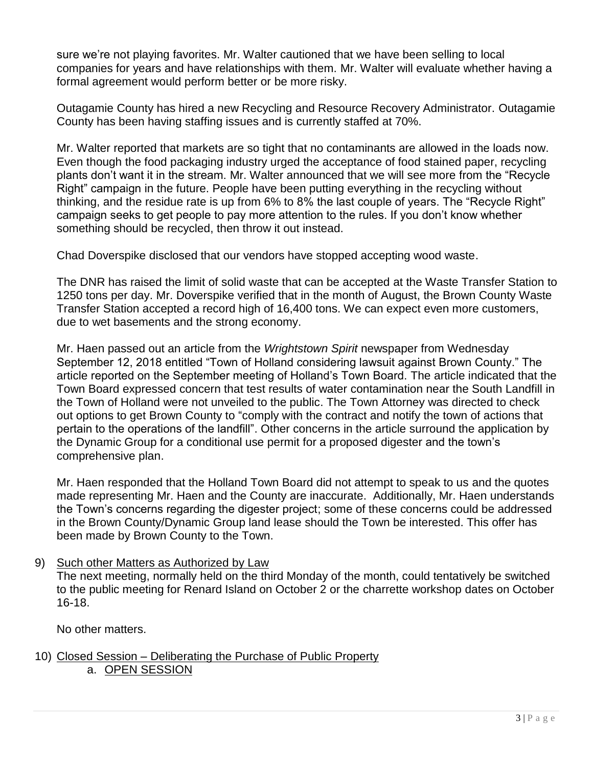sure we're not playing favorites. Mr. Walter cautioned that we have been selling to local companies for years and have relationships with them. Mr. Walter will evaluate whether having a formal agreement would perform better or be more risky.

Outagamie County has hired a new Recycling and Resource Recovery Administrator. Outagamie County has been having staffing issues and is currently staffed at 70%.

Mr. Walter reported that markets are so tight that no contaminants are allowed in the loads now. Even though the food packaging industry urged the acceptance of food stained paper, recycling plants don't want it in the stream. Mr. Walter announced that we will see more from the "Recycle Right" campaign in the future. People have been putting everything in the recycling without thinking, and the residue rate is up from 6% to 8% the last couple of years. The "Recycle Right" campaign seeks to get people to pay more attention to the rules. If you don't know whether something should be recycled, then throw it out instead.

Chad Doverspike disclosed that our vendors have stopped accepting wood waste.

The DNR has raised the limit of solid waste that can be accepted at the Waste Transfer Station to 1250 tons per day. Mr. Doverspike verified that in the month of August, the Brown County Waste Transfer Station accepted a record high of 16,400 tons. We can expect even more customers, due to wet basements and the strong economy.

Mr. Haen passed out an article from the *Wrightstown Spirit* newspaper from Wednesday September 12, 2018 entitled "Town of Holland considering lawsuit against Brown County." The article reported on the September meeting of Holland's Town Board. The article indicated that the Town Board expressed concern that test results of water contamination near the South Landfill in the Town of Holland were not unveiled to the public. The Town Attorney was directed to check out options to get Brown County to "comply with the contract and notify the town of actions that pertain to the operations of the landfill". Other concerns in the article surround the application by the Dynamic Group for a conditional use permit for a proposed digester and the town's comprehensive plan.

Mr. Haen responded that the Holland Town Board did not attempt to speak to us and the quotes made representing Mr. Haen and the County are inaccurate. Additionally, Mr. Haen understands the Town's concerns regarding the digester project; some of these concerns could be addressed in the Brown County/Dynamic Group land lease should the Town be interested. This offer has been made by Brown County to the Town.

9) Such other Matters as Authorized by Law

The next meeting, normally held on the third Monday of the month, could tentatively be switched to the public meeting for Renard Island on October 2 or the charrette workshop dates on October 16-18.

No other matters.

10) Closed Session – Deliberating the Purchase of Public Property a. OPEN SESSION